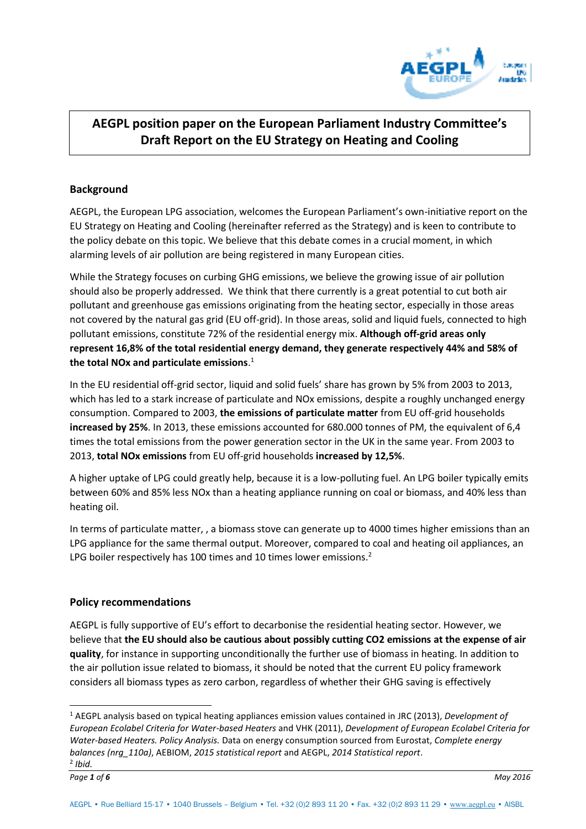

# **AEGPL position paper on the European Parliament Industry Committee's Draft Report on the EU Strategy on Heating and Cooling**

## **Background**

AEGPL, the European LPG association, welcomes the European Parliament's own-initiative report on the EU Strategy on Heating and Cooling (hereinafter referred as the Strategy) and is keen to contribute to the policy debate on this topic. We believe that this debate comes in a crucial moment, in which alarming levels of air pollution are being registered in many European cities.

While the Strategy focuses on curbing GHG emissions, we believe the growing issue of air pollution should also be properly addressed. We think that there currently is a great potential to cut both air pollutant and greenhouse gas emissions originating from the heating sector, especially in those areas not covered by the natural gas grid (EU off-grid). In those areas, solid and liquid fuels, connected to high pollutant emissions, constitute 72% of the residential energy mix. **Although off-grid areas only represent 16,8% of the total residential energy demand, they generate respectively 44% and 58% of the total NOx and particulate emissions**. 1

In the EU residential off-grid sector, liquid and solid fuels' share has grown by 5% from 2003 to 2013, which has led to a stark increase of particulate and NOx emissions, despite a roughly unchanged energy consumption. Compared to 2003, **the emissions of particulate matter** from EU off-grid households **increased by 25%**. In 2013, these emissions accounted for 680.000 tonnes of PM, the equivalent of 6,4 times the total emissions from the power generation sector in the UK in the same year. From 2003 to 2013, **total NOx emissions** from EU off-grid households **increased by 12,5%**.

A higher uptake of LPG could greatly help, because it is a low-polluting fuel. An LPG boiler typically emits between 60% and 85% less NOx than a heating appliance running on coal or biomass, and 40% less than heating oil.

In terms of particulate matter, , a biomass stove can generate up to 4000 times higher emissions than an LPG appliance for the same thermal output. Moreover, compared to coal and heating oil appliances, an LPG boiler respectively has 100 times and 10 times lower emissions.<sup>2</sup>

#### **Policy recommendations**

AEGPL is fully supportive of EU's effort to decarbonise the residential heating sector. However, we believe that **the EU should also be cautious about possibly cutting CO2 emissions at the expense of air quality**, for instance in supporting unconditionally the further use of biomass in heating. In addition to the air pollution issue related to biomass, it should be noted that the current EU policy framework considers all biomass types as zero carbon, regardless of whether their GHG saving is effectively

 $\overline{a}$ 

<sup>1</sup> AEGPL analysis based on typical heating appliances emission values contained in JRC (2013), *Development of European Ecolabel Criteria for Water-based Heaters* and VHK (2011), *Development of European Ecolabel Criteria for Water-based Heaters. Policy Analysis.* Data on energy consumption sourced from Eurostat, *Complete energy balances (nrg\_110a)*, AEBIOM, *2015 statistical report* and AEGPL, *2014 Statistical report*.

<sup>2</sup> *Ibid.*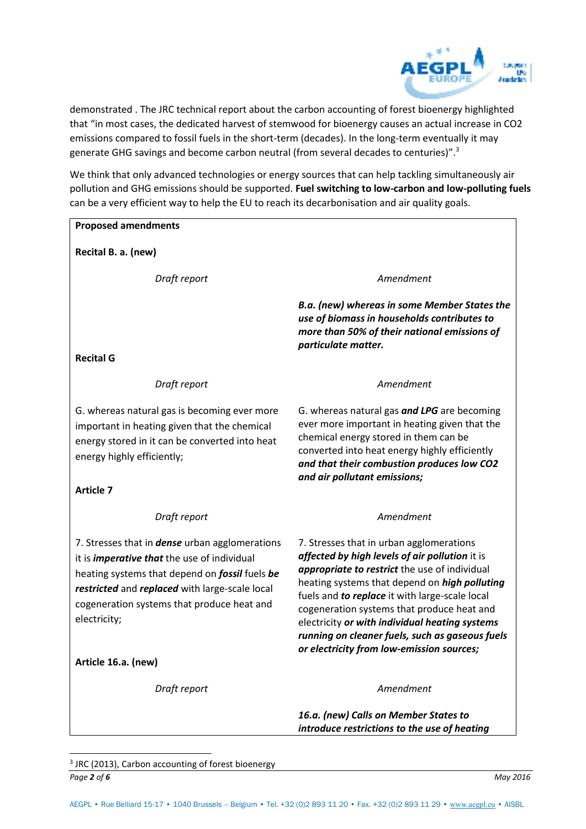

demonstrated . The JRC technical report about the carbon accounting of forest bioenergy highlighted that "in most cases, the dedicated harvest of stemwood for bioenergy causes an actual increase in CO2 emissions compared to fossil fuels in the short-term (decades). In the long-term eventually it may generate GHG savings and become carbon neutral (from several decades to centuries)".<sup>3</sup>

We think that only advanced technologies or energy sources that can help tackling simultaneously air pollution and GHG emissions should be supported. **Fuel switching to low-carbon and low-polluting fuels** can be a very efficient way to help the EU to reach its decarbonisation and air quality goals.

#### **Proposed amendments**

**Recital B. a. (new)** 

**Draft report COVER 1999 120 Amendment** 

*B.a. (new) whereas in some Member States the use of biomass in households contributes to more than 50% of their national emissions of particulate matter.*

**Recital G** 

*Draft report* 

G. whereas natural gas is becoming ever more important in heating given that the chemical energy stored in it can be converted into heat energy highly efficiently;

**Article 7** 

*Draft report* 

7. Stresses that in *dense* urban agglomerations it is *imperative that* the use of individual heating systems that depend on *fossil* fuels *be restricted* and *replaced* with large-scale local cogeneration systems that produce heat and electricity;

**Article 16.a. (new)** 

 $\overline{a}$ 

**Draft report COVER 1999 120 Amendment** 

*Amendment*  G. whereas natural gas *and LPG* are becoming ever more important in heating given that the chemical energy stored in them can be converted into heat energy highly efficiently

*and that their combustion produces low CO2 and air pollutant emissions;*

# *Amendment*

7. Stresses that in urban agglomerations *affected by high levels of air pollution* it is *appropriate to restrict* the use of individual heating systems that depend on *high polluting* fuels and *to replace* it with large-scale local cogeneration systems that produce heat and electricity *or with individual heating systems running on cleaner fuels, such as gaseous fuels or electricity from low-emission sources;* 

*16.a. (new) Calls on Member States to introduce restrictions to the use of heating* 

*Page 2 of 6 May 2016* <sup>3</sup> JRC (2013), Carbon accounting of forest bioenergy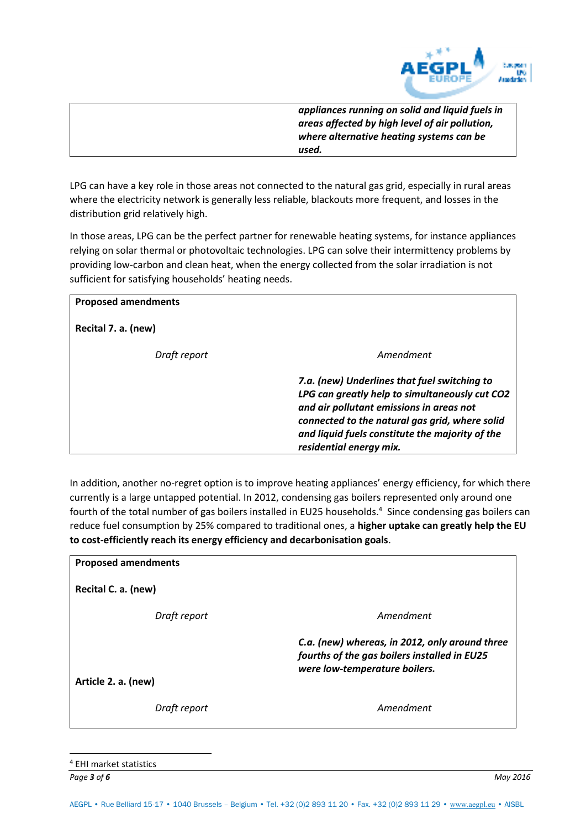

*appliances running on solid and liquid fuels in areas affected by high level of air pollution, where alternative heating systems can be used.* 

LPG can have a key role in those areas not connected to the natural gas grid, especially in rural areas where the electricity network is generally less reliable, blackouts more frequent, and losses in the distribution grid relatively high.

In those areas, LPG can be the perfect partner for renewable heating systems, for instance appliances relying on solar thermal or photovoltaic technologies. LPG can solve their intermittency problems by providing low-carbon and clean heat, when the energy collected from the solar irradiation is not sufficient for satisfying households' heating needs.

| <b>Proposed amendments</b> |                                                                                                                                                                                                                                                                            |
|----------------------------|----------------------------------------------------------------------------------------------------------------------------------------------------------------------------------------------------------------------------------------------------------------------------|
| Recital 7. a. (new)        |                                                                                                                                                                                                                                                                            |
| Draft report               | Amendment                                                                                                                                                                                                                                                                  |
|                            | 7.a. (new) Underlines that fuel switching to<br>LPG can greatly help to simultaneously cut CO2<br>and air pollutant emissions in areas not<br>connected to the natural gas grid, where solid<br>and liquid fuels constitute the majority of the<br>residential energy mix. |

In addition, another no-regret option is to improve heating appliances' energy efficiency, for which there currently is a large untapped potential. In 2012, condensing gas boilers represented only around one fourth of the total number of gas boilers installed in EU25 households.<sup>4</sup> Since condensing gas boilers can reduce fuel consumption by 25% compared to traditional ones, a **higher uptake can greatly help the EU to cost-efficiently reach its energy efficiency and decarbonisation goals**.

| Amendment                                                                                                                       |
|---------------------------------------------------------------------------------------------------------------------------------|
| C.a. (new) whereas, in 2012, only around three<br>fourths of the gas boilers installed in EU25<br>were low-temperature boilers. |
| Amendment                                                                                                                       |
|                                                                                                                                 |

*Page 3 of 6 May 2016* 4 EHI market statistics

 $\overline{a}$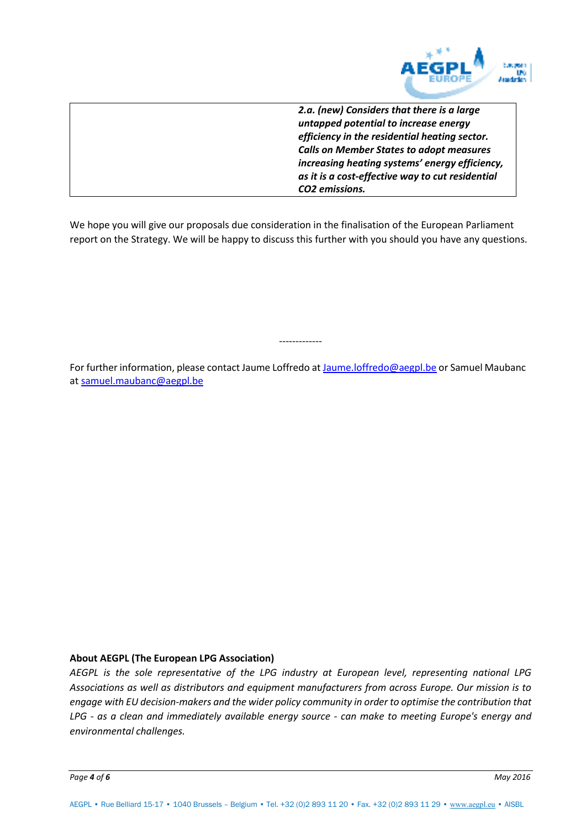

*2.a. (new) Considers that there is a large untapped potential to increase energy efficiency in the residential heating sector. Calls on Member States to adopt measures increasing heating systems' energy efficiency, as it is a cost-effective way to cut residential CO2 emissions.* 

We hope you will give our proposals due consideration in the finalisation of the European Parliament report on the Strategy. We will be happy to discuss this further with you should you have any questions.

For further information, please contact Jaume Loffredo at [Jaume.loffredo@aegpl.be o](mailto:Jaume.loffredo@aegpl.be)r Samuel Maubanc at [samuel.maubanc@aegpl.be](mailto:samuel.maubanc@aegpl.be) 

-------------

#### **About AEGPL (The European LPG Association)**

*AEGPL is the sole representative of the LPG industry at European level, representing national LPG Associations as well as distributors and equipment manufacturers from across Europe. Our mission is to engage with EU decision-makers and the wider policy community in order to optimise the contribution that LPG - as a clean and immediately available energy source - can make to meeting Europe's energy and environmental challenges.*

*Page 4 of 6 May 2016*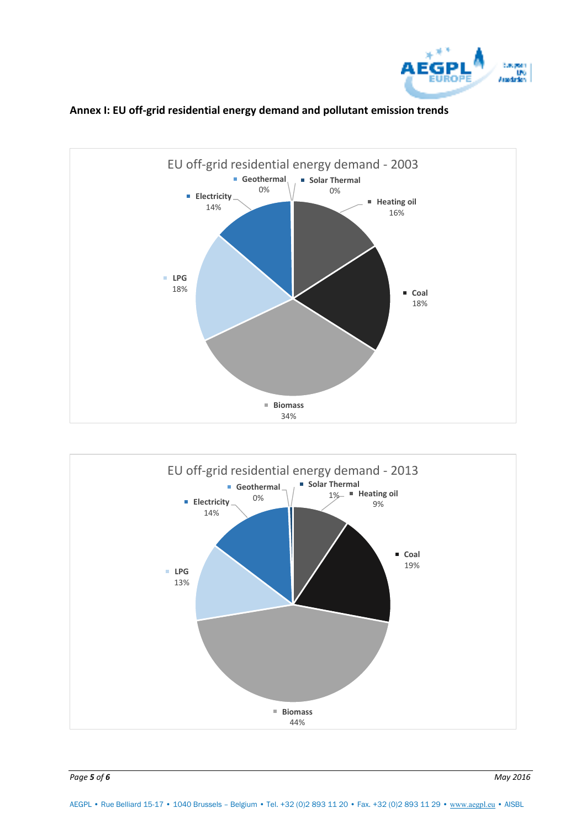



### **Annex I: EU off-grid residential energy demand and pollutant emission trends**